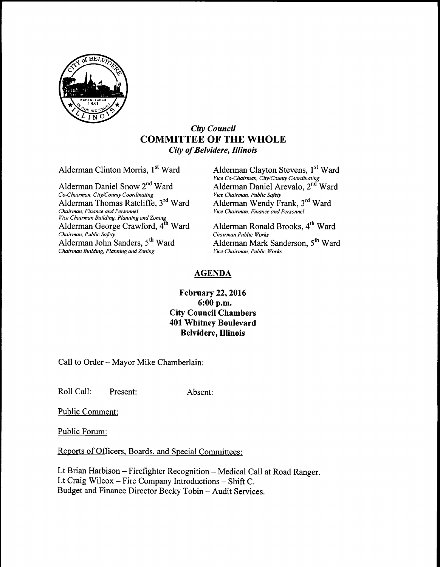

#### City Council COMMITTEE OF THE WHOLE City of Belvidere, Illinois

Alderman Clinton Morris, 1<sup>st</sup> Ward Alderman Clayton Stevens, 1<sup>st</sup> Ward

Co-Chairman, City/County Coordinating Vice Chairman, Public Safety Alderman Thomas Ratcliffe, 3<sup>rd</sup> Ward Chairman, Finance and Personnel <sup>v</sup>ice Chairman Building, Planning and Zoning<br>Alderman George Crawford, 4<sup>th</sup> Ward Alderman Ronald Brooks, 4<sup>th</sup> Ward Chairman, Public Safety<br>Alderman John Sanders, 5<sup>th</sup> Ward Alderman Mark Sanderson, 5<sup>th</sup> Ward Alderman John Sanders,  $5^{\text{th}}$  Ward Alderman Mark San<br>Chairman Building, Planning and Zoning Vice Chairman, Public Works Chairman Building, Planning and Zoning

Vice Co-Chairman, City/County Coordinating<br>Alderman Daniel Snow 2<sup>nd</sup> Ward Alderman Daniel Arevalo, 2<sup>nd</sup> Ward Alderman Wendy Frank, 3<sup>rd</sup> Ward Vice Chairman, Finance and Personnel

#### AGENDA

#### February 22, 2016 6: 00 p.m. City Council Chambers 401 Whitney Boulevard Belvidere, Illinois

Call to Order—Mayor Mike Chamberlain:

Roll Call: Present: Absent:

Public Comment:

Public Forum:

Reports of Officers. Boards, and Special Committees:

Lt Brian Harbison—Firefighter Recognition—Medical Call at Road Ranger. Lt Craig Wilcox—Fire Company Introductions— Shift C. Budget and Finance Director Becky Tobin—Audit Services.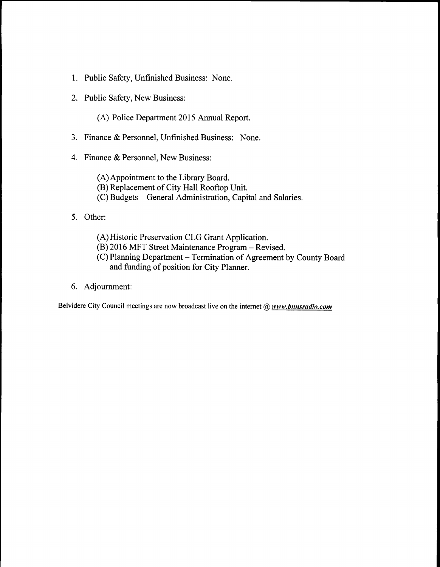- 1. Public Safety, Unfinished Business: None.
- 2. Public Safety, New Business:
	- A) Police Department 2015 Annual Report.
- 3. Finance & Personnel, Unfinished Business: None.
- 4. Finance & Personnel, New Business:
	- A)Appointment to the Library Board. B) Replacement of City Hall Rooftop Unit.
	- C) Budgets— General Administration, Capital and Salaries.
- 5. Other:
	- A) Historic Preservation CLG Grant Application.
	- B) 2016 MFT Street Maintenance Program— Revised.
	- C) Planning Department— Termination of Agreement by County Board and funding of position for City Planner.
- 6. Adjournment:

Belvidere City Council meetings are now broadcast live on the internet  $@$  www.bnnsrudio.com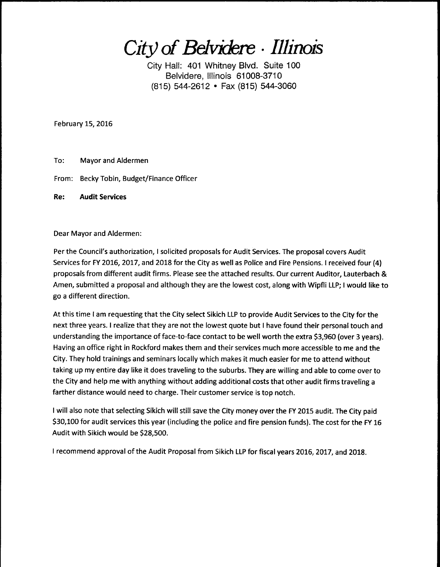City of Belvidere · Illinois

City Hall: 401 Whitney Blvd. Suite 100 Belvidere, Illinois 61008-3710 (815) 544-2612 • Fax (815) 544-3060

February 15, 2016

To: Mayor and Aldermen

From: Becky Tobin, Budget/Finance Officer

Re: Audit Services

Dear Mayor and Aldermen:

Per the Council's authorization, I solicited proposals for Audit Services. The proposal covers Audit Services for FY 2016, 2017, and 2018 for the City as well as Police and Fire Pensions. I received four( 4) proposals from different audit firms. Please see the attached results. Our current Auditor, Lauterbach & Amen, submitted <sup>a</sup> proposal and although they are the lowest cost, along with Wipfli LLP; I would like to go a different direction.

At this time <sup>I</sup> am requesting that the City select Sikich LLP to provide Audit Services to the City for the next three years. I realize that they are not the lowest quote but <sup>I</sup> have found their personal touch and understanding the importance of face-to-face contact to be well worth the extra \$3,960 (over 3 years). Having an office right in Rockford makes them and their services much more accessible to me and the City. They hold trainings and seminars locally which makes it much easier for me to attend without taking up my entire day like it does traveling to the suburbs. They are willing and able to come over to the City and help me with anything without adding additional costs that other audit firms traveling <sup>a</sup> farther distance would need to charge. Their customer service is top notch.

<sup>I</sup> will also note that selecting Sikich will still save the City money over the FY 2015 audit. The City paid \$30, 100 for audit services this year (including the police and fire pension funds). The cost for the FY 16 Audit with Sikich would be \$28,500.

<sup>1</sup> recommend approval of the Audit Proposal from Sikich LLP for fiscal years 2016, 2017, and 2018.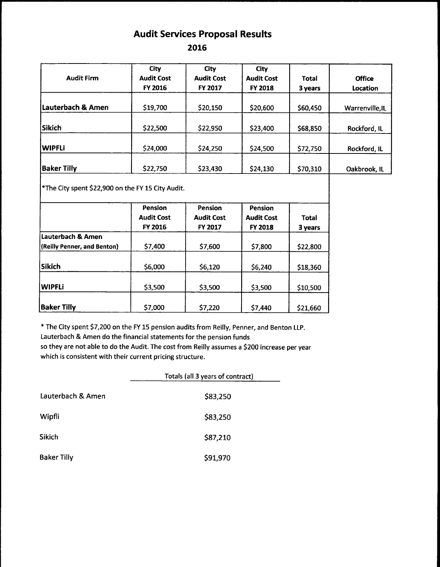### Audit Services Proposal Results

2016

| <b>Audit Firm</b>  | City<br><b>Audit Cost</b><br>FY 2016 | City<br><b>Audit Cost</b><br>FY 2017 | City<br><b>Audit Cost</b><br><b>FY 2018</b> | <b>Total</b><br>3 years | <b>Office</b><br>Location |
|--------------------|--------------------------------------|--------------------------------------|---------------------------------------------|-------------------------|---------------------------|
| Lauterbach & Amen  | \$19,700                             | \$20,150                             | \$20,600                                    | \$60,450                | Warrenville, IL           |
| Sikich             | \$22,500                             | \$22,950                             | \$23,400                                    | \$68,850                | Rockford, IL              |
| <b>WIPFLi</b>      | \$24,000                             | \$24,250                             | \$24,500                                    | \$72,750                | Rockford, IL              |
| <b>Baker Tilly</b> | \$22,750                             | \$23,430                             | \$24,130                                    | \$70,310                | Oakbrook, IL              |

 $\big\vert$ \*The City spent \$22,900 on the FY 15 City Audit.

|                             | Pension<br><b>Audit Cost</b><br><b>FY 2016</b> | Pension<br><b>Audit Cost</b><br>FY 2017 | <b>Pension</b><br><b>Audit Cost</b><br><b>FY 2018</b> | <b>Total</b><br>3 years |
|-----------------------------|------------------------------------------------|-----------------------------------------|-------------------------------------------------------|-------------------------|
| Lauterbach & Amen           |                                                |                                         |                                                       |                         |
| (Reilly Penner, and Benton) | \$7,400                                        | \$7,600                                 | \$7,800                                               | \$22,800                |
|                             |                                                |                                         |                                                       |                         |
| <b>Sikich</b>               | \$6,000                                        | \$6,120                                 | \$6,240                                               | \$18,360                |
|                             |                                                |                                         |                                                       |                         |
| <b>WIPFLi</b>               | \$3,500                                        | \$3,500                                 | \$3,500                                               | \$10,500                |
|                             |                                                |                                         |                                                       |                         |
| <b>Baker Tilly</b>          | \$7,000                                        | \$7,220                                 | \$7,440                                               | \$21,660                |

\* The City spent \$7,200 on the FY 15 pension audits from Reilly, Penner, and Benton LLP. Lauterbach& Amen do the financial statements for the pension funds so they are not able to do the Audit. The cost from Reilly assumes a \$200 increase per year which is consistent with their current pricing structure.

|                    | Totals (all 3 years of contract) |  |  |
|--------------------|----------------------------------|--|--|
| Lauterbach & Amen  | \$83,250                         |  |  |
| Wipfli             | \$83,250                         |  |  |
| Sikich             | \$87,210                         |  |  |
| <b>Baker Tilly</b> | \$91,970                         |  |  |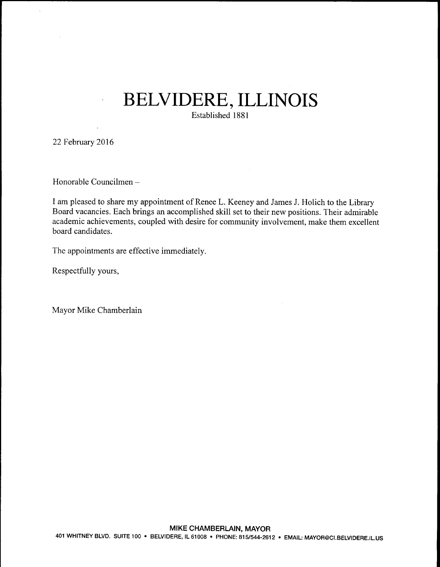# BELVIDERE. ILLINOIS

Established 1881

22 February 2016

Honorable Councilmen—

I am pleased to share my appointment of Renee L. Keeney and James J. Holich to the Library Board vacancies. Each brings an accomplished skill set to their new positions. Their admirable academic achievements, coupled with desire for community involvement, make them excellent board candidates.

The appointments are effective immediately.

Respectfully yours,

Mayor Mike Chamberlain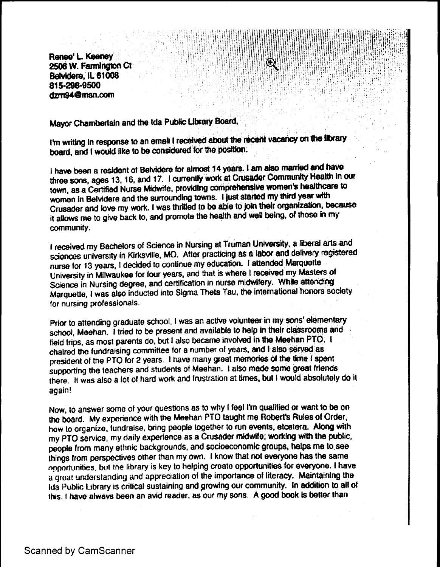Renee' L. Keeney **Provident Community of the Community of the Community of the Community of the Community of the Community of the Community of the Community of the Community of the Community of the Community of the Communi** 2506 W. Farmington Ct Belvidere, IL 61008 815.296.9500 dzrn94Qmsn.com

Mayor Chamberlain and the ida.Public Ubrary Boatd,

I'm writing in response to an email I received about the recent vacancy on the library board, and I would like to be considered for the position.

11l44t ;<sup>4</sup>f , i} <sup>I</sup>

<sup>k</sup>' i is 1 . <sup>1</sup><sup>i</sup>

i 111111

M' <sup>i</sup>

sir . i

it NIt

t <sup>p</sup>

z: <sup>S</sup> r4, <sup>7</sup> <sup>Y</sup> <sup>j</sup> ttl it{ <sup>4</sup> 04! lil"<sup>I</sup>

si i }

I have been a resident of Belvidere for almost 14 years. I am also married and have three sons, ages 13, 16, and 17. I currently work at Crusader Community Health in our town, as a Certified Nurse Midwife, providing comprehensive women's healthcare to women in Belvidere and the surrounding towns. I just started my third year with Crusader and love my work. I was thritled to be able to join their organization, because it allows me to give back to, and promote the health and wall being, of those in my community.

i received my Bachelors of Science in Nursing at Truman University, a liberal arts and sciences university in Kirksville, MO. After practicing as a labor and delivery registered nurse for 13 years, I decided to continue my education. t attended Marquette University in Milwaukee for four years, and that is where I received my Masters of Science in Nursing degree, and certification in nurse midwifery. While attending Marquette, t was also inducted into Sigma Theta Tau, the international honors society for nursing professionals.

Prior to attending graduate school, I was an active volunteer in my sons' elementary school, Meehan. I tried to be present and available to help in their classrooms and field trips, as most parents do, but I also became involved in the Meehan PTO. I chaired the fundraising committee for a number of years, and I also served as president of the PTO for 2 years. I have many great memories of the time I spent supporting the teachers and students of Meehan. I also made some great friends there. It was also a lot of hard work and frustration at times, but <sup>I</sup> would absolutely do it again!

Now, to answer some of your questions as to why I feel I'm qualified or want to be on the board. My experience with the Meehan PTO taught me Robert's Rules of Order, how to organize, fundraise, bring people together to run events, etcetera. Along with my PTO service, my daily experience as a Crusader midwife, working with the public, people from many ethnic backgrounds, and socioeconomic groups, helps me to.see things from perspectives other than my own. <sup>i</sup> know that not everyone has the same on portunities, but the library is key to helping create opportunities for everyone. I have a great understanding and appreciation of the importance of literacy. Maintaining the Ida Public Library is critical sustaining and growing our community. In addition to all of this. I have always been an avid reader, as our my sons. A good book is better than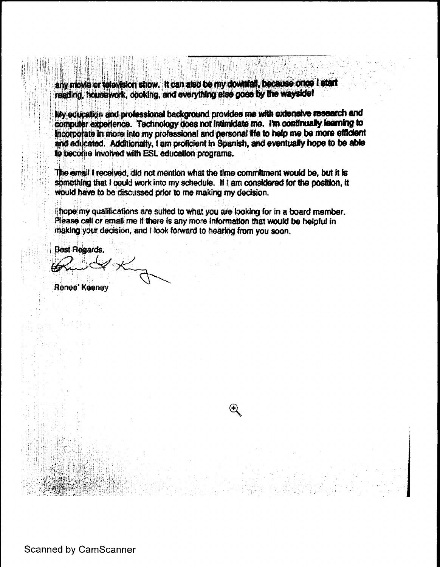any movie or television show. It can also be my downtall, because once I start reading, housework, cooking, and everything else goes by the wayside!

My education and professional background provides me with extensive research and computer experience. Technology does not intimidate me. I'm continually learning to incorporate in more into my professional and personal life to help me be more efficient and educated. Additionally, I am proficient in Spanish, and eventually hope to be able to become involved with ESL education programs.

The email I received, did not mention what the time commitment would be, but It is something that I could work into my schedule. If I am considered for the position, it would have to be discussed prior to me making my decision.

I; hope my qualifications are suited to what you are looking for in a board member. Please call or email me if there is any more information that would be helpful in making your decision, and I look forward to hearing from you soon.

 $\mathfrak{D}% _{T}=\mathfrak{D}_{T}\!\left( a,b\right) ,\qquad\mathfrak{D}_{T}=C_{T}\!\left( a,b\right) ,\qquad\mathfrak{D}_{T}=C_{T}\!\left( a,b\right) ,$ 

**Best Regards,** 

Jas

Renee' Keeney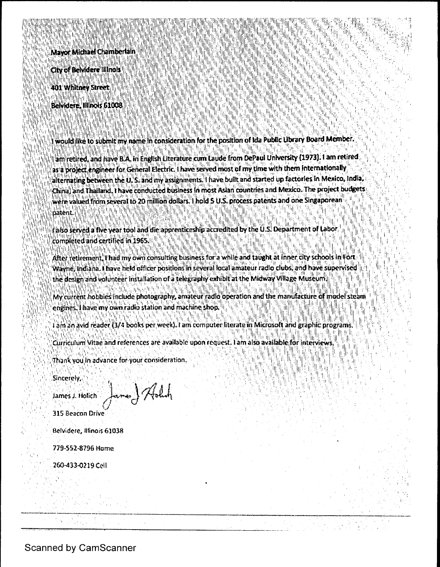illi la illi la littera della contra la contra la littera della contra la littera della contra la littera dell<br>La littera della contra la littera della contra la contra la littera della contra la littera della contra la<br>La in in a III 11; II I, L <sup>I</sup> i1 II, II <sup>1</sup> II IIII 111• I ! <sup>I</sup> IIIII <sup>11</sup> I1•: I ( 1! , If.1. 11` ! ! ' <sup>I</sup>' ! • t . i; Ii (! I!'" <sup>I</sup> IIII ' <sup>I</sup> <sup>1</sup> <sup>I</sup> i an compare an an Chamberlain ann a chainn an ainm an ainm an chainn an chainn an chainn an ainm air an compa<br>In the **Mayor Michael Chamberlain** ann an chainn an t-ainm an chainn an chainn an chainn an chainn an chainn an li in antisti statisti in antisti antisti antisti in antisti antisti anti In Capital Andreas States of Alberta Albert Luber (1981) and the Capital Capital Capital Capital Capital Capit<br>The Capital Andreas States of Alberta Capital Capital Capital Capital Capital Capital Capital Capital Capital i ll <sup>1</sup> <sup>i</sup> li , <sup>I</sup> <sup>11</sup> 1: <sup>11</sup> il,l , il ll II III ' ll ll' <sup>i</sup> 11, ; IIII I; <sup>I</sup> 1 ! <sup>11</sup> I : li. City of Belvidere Illinois II II IN ANAHAMAN SANA lil' il!! <sup>1111</sup>' <sup>I</sup> II <sup>1111</sup> IL Il , ll <sup>a</sup> IIII I IIIIIIII I ILILI INI LIEPUNG TANGGAN TANGGAN MAGALANG PANGANG TANGGAN MAGALANG TANGGAN. 401' Whitney Street

I DOMENSKI KARLIN

lil bill II <sup>i</sup> III., <sup>111</sup>' li <sup>I</sup> III

'lıl

l

l

III <sup>I</sup> <sup>l</sup> ii! IIiI:Ili.<sup>1</sup>

111 <sup>I</sup>

1 I!. <sup>i</sup> <sup>111</sup> 11111!

 $\blacksquare$ 

IIIII <sup>1</sup> t 111111

11 M 1 1 I <sup>1</sup> <sup>1</sup>

I( I

II <sup>I</sup> II Ii' ll <sup>111</sup> <sup>I</sup>

IN ANDER .

I;! i! i

I 11 11 11 11 11 11 1

Ii'l I

<sup>I</sup> I

I !,'

it

I! ja:.<sup>y</sup> II , I!' <sup>I</sup>

I, II, III II, III II l;! <sup>I</sup>' I:! <sup>I</sup>' IhI <sup>I</sup> II <sup>I</sup> II' I! i! <sup>I</sup> II II ` tl, ( I III III II II II III II II II II <sup>I</sup> II II! II i• l) I

<sup>11</sup> X111, <sup>1</sup> <sup>1111</sup> 111111, <sup>I</sup> Ili Il <sup>I</sup>

l,

I11111I

11. 1, 11,, 111q` y <sup>l</sup> NIII, III <sup>111</sup> i ..<sup>i</sup> <sup>I</sup>' ll 1. 11 , <sup>I</sup> <sup>I</sup> <sup>I</sup> i., <sup>1</sup> Rita i` I! I. <sup>i</sup> IIII11'11llllllll <sup>111</sup> <sup>1</sup> <sup>I</sup> 1IIi LII III11 , 111+!,. 1. 111,1' 1111` 11, 11.

t de la companyation de la companyation de la constitution for the position of Ida Public Library Board Member<br>L'angle de la companyation de la companyation de constitution for the position of Ida Public Library Board Memb Ini il III ' '!'

it il,

<sup>n</sup>I+ r, <sup>1</sup>' I + I:' 1 , rrr v ; I.' i , ! , ,,,.,, •; <sup>I</sup> <sup>I</sup>', <sup>k</sup> <sup>u</sup> <sup>1</sup>' I , <sup>I</sup> <sup>I</sup> <sup>t</sup> <sup>t</sup> <sup>H</sup> <sup>i</sup>'! <sup>i</sup> 11 . <sup>I</sup> ll III • <sup>P</sup> III l,: <sup>i</sup> <sup>I</sup>'; <sup>I</sup> <sup>I</sup> I{ il <sup>i</sup> I, I!; I. IL..,., <sup>I</sup> IIi 1 .! <sup>I</sup> I!,:• . <sup>I</sup> I "; L) <sup>i</sup> 1 •! Ii <sup>l</sup>

I

II II III III III III III III III III

<sup>I</sup> II IIII <sup>I</sup>' <sup>I</sup> 1! <sup>1111</sup> 11 . <sup>111</sup> I, <sup>11</sup> <sup>I</sup> I! 111, <sup>1</sup>', .

F1 ili 1 ili 1 ili 1 ili 1 ili 1 ili 1 ili 1 ili 1 ili 1 ili 1 ili 1 ili 1 ili 1 ili 1 ili 1 ili 1 ili 1 ili 1<br>. Ili 1 ili 1 ili 1 ili 1 ili 1 ili 1 ili 1 ili 1 ili 1 ili 1 ili 1 ili 1 ili 1 ili 1 ili 1 ili 1 ili 1 ili 1

I I BOLIN I EDELLE LA GUELLI E LE SULLA DELLE DELL'URA

ra. I 1111' '. I 1111' 112 | 112 | 112 | 112 | 112 | 112 | 112 | 112 | 112 | 112 | 112 | 112 | 112 |

I' III Albelli Pl

12029691296911291

for the fill in the set of the fill in the fill in the standard profession of the fill in the fill in the fill <sup>1</sup> <sup>I</sup> <sup>d</sup> <sup>I</sup> 1: <sup>111</sup> i;; l ; 11, . I, , III I ,; '' I !, '

I

il II Alexiei

i !• II I (' ! Ij { lil Ii - <sup>11</sup> <sup>I</sup>

l si

II 111, II LIIN INDIA 11 INDIA 11 INDIA 11 INDIA 11 INDIA 11 INDIA 11 INDIA 11 INDIA 11 INDIA 11 INDIA 11

Il.'

II. <sup>i</sup>n in 1111 in 1121

ilI, <sup>l</sup> III <sup>I</sup>'

电磁电话表向计时运电机 化单矩 精炼不足的 电影神经的 的复数非常的过去分词 医

l .

li, <sup>I</sup> II <sup>I</sup>

II I ! 111`', <sup>11</sup> 1;:: 11. <sup>1</sup> it I, II ,! iI, ,:! , <sup>1</sup> <sup>i</sup>

li : il in alicentali alla al

II

l' n

I , I and in the Indian II in the United States

I NEW YORK ANG

<sup>I</sup>' ; <sup>I</sup> <sup>I</sup> <sup>I</sup> I `.' ! fill

in till 111 med 11 med 11 med 11 med 11 med 11 med 11 med 11 med 11 med 11 med 11 med 11 med 11 med 11 med 11<br>1911 – John Stein Stein Stein Stein Stein Stein Stein Stein Stein Stein Stein Stein Stein Stein Stein Stein St

II: 91, 191, 91

i i

<sup>I</sup> I

I: <sup>I</sup> III' ! <sup>I</sup> il, lll,!! li; II <sup>I</sup>' ' Ih i! I, <sup>p</sup> Ii!

11. 'f

1

IS ANN AN AN AINST

It

ILIL. III ADAMIKSIK SIKKEIN MUUTTIKA SIKKEI

L.

ING MACINTANG P

II, "'IL' PE' ' I

i,,'in,'in,'in,'in,'in,'i

II

 $\mathcal{C}^{\text{I}}$  ,  $\mathcal{C}^{\text{I}}$  ,  $\mathcal{C}^{\text{I}}$  ,  $\mathcal{C}^{\text{I}}$  ,  $\mathcal{C}^{\text{I}}$  ,  $\mathcal{C}^{\text{I}}$  ,  $\mathcal{C}^{\text{I}}$ 

1+

Ili <sup>I</sup> L;' I :! ' I; <sup>I</sup> <sup>I</sup> I,

i1 '

I!

ill,, Ihl !;,'' Il ! 111;:'"

In the station that the time to the first theorem

BULLET EN SKALL IN AN

IN ANGLES NA

IN ANTIFICATION AT THE THE STATE OF THE STATE OF THE STATE OF THE STATE OF THE STATE OF THE STATE OF THE STATE OF THE STATE OF THE STATE OF THE STATE OF THE STATE OF THE STATE OF THE STATE OF THE STATE OF THE STATE OF THE

I

I <sup>i</sup> <sup>I</sup>' <sup>11</sup>'

INE REPORT ON THE REPORT OF THE SERVE

i

I 1690 THE MEPH

ll II i!' !

I{+'• <sup>I</sup> <sup>111111</sup> II { . <sup>I</sup> li. II II", ! 1{ '. II' I,! V! Ii,, 111,, il II . 111! 1:,( 1. <sup>1</sup>'

11. little in the 111 little in the United States of the United States of the University (1973). I am retired:<br>In completing and have B.A. in English Literature cum Laude from DePaul University (1973). I am retired: 1 I! 11 I as a project engineer for General Electric. I have served most of my time with them internationally hill in the fill in the student the U.S. and my assignments. I have built and started up factories in Mexico, India,<br>"High High Sternating between the U.S. and my assignments. I have built and started up factories in Mexic alterhating between the UPS and my assignments."<br>Pearly if P Primary Cut in added to it induced from 110 I**n China) and Thalland. I have conducted business in most Asian countries and Mexico. The project budgets!**<br>Note that television by the pirot of the hold manely limit. It for the bull in the firm of the Color The Firm i <sup>I</sup>I ! 1,,,. i, i' ' <sup>I</sup> 11 !' <sup>I</sup>'.' <sup>1</sup> <sup>I</sup> l!; 1! h 1. '' <sup>t</sup> <sup>I</sup> <sup>I</sup>IIIIi, <sup>I</sup> II! I!' I, <sup>I</sup> LI" II <sup>I</sup>Ip` <sup>L</sup> IIIII: I! I, 111 , woifle-valued IF Im ib 2D r. nlltian r p(tars I; hol'cl U 5. Ipr!ocess pai eint and arie 5irlgapa rean <sup>I</sup> the planet of the planet IIII! I' li: I is I i li: I' li: I li: I li: I i li: I i li: I i li: I i li: I i li: I  $^{\prime\prime\prime\prime\prime\prime}$  ,  $^{\prime\prime}$ I, <sup>11</sup> <sup>i</sup> I (1111-1111-11 I, !, ! <sup>1</sup> 111, Ili I, li ! iil"! ' yi Ill ! <sup>l</sup> i <sup>l</sup>'.. II in several to 20 million dollars. I hold 5 U.S. process patents and one is<br>in several to 20 million dollars. I hold 5 U.S. process patents and one is INNAPORRATAN PENDENGAN PENDAPAN SENGAT APADA ANA KANAH PENDAPAN PENDAPATAN PENDAPATAN INI PENDAPA I Lift of the state of the Hampshire of the state of the Lift in the United States in the Second States and Se

IIII) is ill it it is the vear tool and die apprenticeship accredited by the U.S. Department of Labor, in the<br>Initial lake served a five year tool and die apprenticeship accredited by the U.S. Department of Labor, in the II Ii <sup>i</sup>' 111, ilk, li ! <sup>111</sup> I ! II <sup>I</sup>', <sup>I</sup> is son completed and certified to 1965 and a hard the hard and a hard and a state of the United States and a h<br>In the billion integral and certified to 1965 and a hard the till in the film of the film of the film of the t I ! <sup>I</sup>' I ' I`' i! Iii !!' <sup>I</sup>I , <sup>i</sup>' Ili IE. . <sup>I</sup> till it Ill , i: 1i I, , <sup>I</sup> I, SANG NGANA I!! II ! i II li li il III il III il III

<sup>1</sup>' 1111!, <sup>1</sup> i, i1, <sup>I</sup>

i '

<sup>1</sup> I ( <sup>I</sup> IIII III I, 11t1 I , l ! ! <sup>I</sup> <sup>I</sup> <sup>I</sup> <sup>I</sup> <sup>I</sup> I ! <sup>I</sup> Ii I, fC4Itireiiniht!II' he M! Itivwn consultir ' it in s\$ Ter whilellan <sup>i</sup> to ttt artltli l\*r rlt coalx Fibrlt. siter retirement. I had my own consulting business for a while and taught at inner city schools in Fort.<br>Pull held, and the website the officer positions in several local amateur radio clubs, and have supervised in 1 I DAN IN INGKATAN ATAWA ANG ANG ATAWAN AT ANG INANGKAN AT ANG INA  $T_1$  is the design and volunteer installation of a telegraphy exhibit at the Midway Village Museum;  $T_1$  is in

u <sup>I</sup> <sup>11</sup> I, !' <sup>I</sup> L1 11.\_ <sup>I</sup> L. 는 아이들이 아니다. 이 사진이 있는 것이 아니다. 이 사진이 있는 것이 아니다. 이 사진이 있는 것이 아니다. 이 사진이 있는 것이 아니다. 이 사진이 있는 것이 아니다.<br>한국 사진이 My current hobbies include photography, analteur radio operation and the manufacture of model steam I I I I I I i'i ya katika ma In a little in the inly is a station radio station and machine shop. II , MAZYA ARGAR ANG MAZININ I, ' I . III ( I i I : II Ili 111 h I I h I I H I J

I' 1, 1991, 1991, 1992, 1993, 1994, 1994, 1994, 1994, 1994, 1994, 1994, 1994, 1994, 1994, 1994, 1994, 1994, 19<br>The second control of the second control of the second control of the second control of the second control of  $t$ ,  $t$  is  $t$  am an avid reader (3/4 books per week). I am computer literate in Microsoft and graphic programs II

E FOR DE LA PRESENTA DE LA PRESENTA DE LA PRESENTA DE LA PRESENTA DE LA PERSENTA DE MARIA EN ENCHANDA EN ENDR

i Curriculum Vitae and references are avallable upon request. I am also available for interviews.<sup>11</sup>

Thank you in advance for-your consideration.

I . I, I, I, I, III 'I P

Sincerely, N 20 N or 机的复数化 机特征进口 化半分化作用 人名索尔法 的复数化电阻电阻 机电阻阻 解毒菌属 羅 Singerely, (1966) and of the story of the control of a control of the language interaction in the infant state

I I

1 ,!.

I r' 19 FFFFFFFFF ${\cal G}$ 

315 Beacon Drive

Belvidere, Illinois 610.3\$

779.552-8796 Biome

260-433-02,19 Cell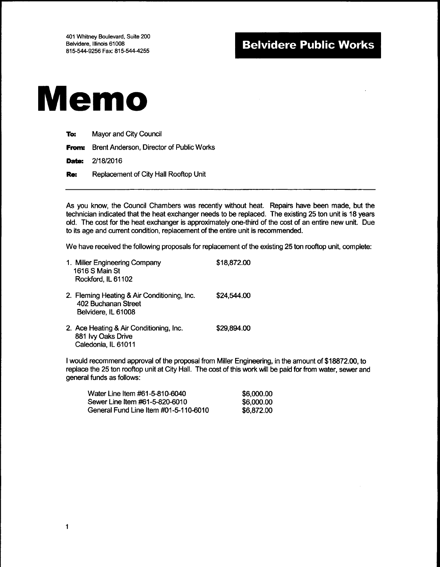

| To:   | Mayor and City Council                   |
|-------|------------------------------------------|
| From: | Brent Anderson, Director of Public Works |
|       | <b>Date: 2/18/2016</b>                   |
| Re:   | Replacement of City Hall Rooftop Unit    |

As you know, the Council Chambers was recently without heat. Repairs have been made, but the technician indicated that the heat exchanger needs to be replaced. The existing 25 ton unit is 18 years old. The cost for the heat exchanger is approximately one-third of the cost of an entire new unit. Due to its age and current condition, replacement of the entire unit is recommended.

We have received the following proposals for replacement of the existing 25 ton rooftop unit, complete:

| 1. Miller Engineering Company<br>1616 S Main St<br>Rockford, IL 61102                     | \$18,872.00 |
|-------------------------------------------------------------------------------------------|-------------|
| 2. Fleming Heating & Air Conditioning, Inc.<br>402 Buchanan Street<br>Belvidere, IL 61008 | \$24,544.00 |
| 2. Ace Heating & Air Conditioning, Inc.<br>881 Ivy Oaks Drive<br>Caledonia, IL 61011      | \$29.894.00 |

<sup>1</sup> would recommend approval of the proposal from Miller Engineering, in the amount of\$ 18872.00, to replace the 25 ton rooftop unit at City Hall. The cost of this work will be paid for from water, sewer and general funds as follows:

| Water Line Item #61-5-810-6040        | \$6,000.00 |
|---------------------------------------|------------|
| Sewer Line Item #61-5-820-6010        | \$6,000,00 |
| General Fund Line Item #01-5-110-6010 | \$6,872,00 |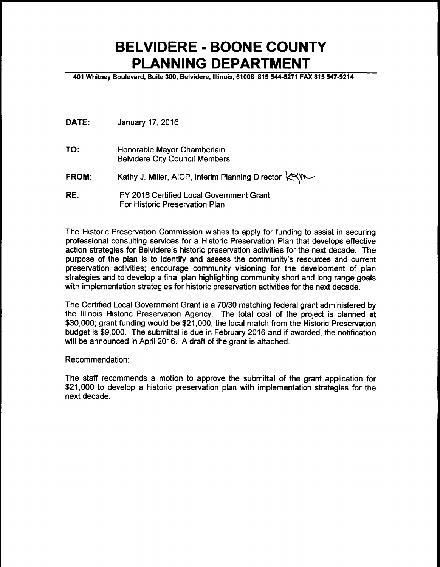## BELVIDERE - BOONE COUNTY PLANNING DEPARTMENT

401 Whitney Boulevard, Suite 300, Belvidere, Illinois, 61008 815 544-5271 FAX 815 547-9214

- DATE: January 17, 2016
- TO: Honorable Mayor Chamberlain Belvidere City Council Members
- FROM: Kathy J. Miller, AICP, Interim Planning Director KYM
- RE: FY 2016 Certified Local Government Grant For Historic Preservation Plan

The Historic Preservation Commission wishes to apply for funding to assist in securing professional consulting services for a Historic Preservation Plan that develops effective action strategies for Belvidere's historic preservation activities for the next decade. The purpose of the plan is to identify and assess the community's resources and current preservation activities; encourage community visioning for the development of plan strategies and to develop a final plan highlighting community short and long range goals with implementation strategies for historic preservation activities for the next decade.

The Certified Local Government Grant is a 70/30 matching federal grant administered by the Illinois Historic Preservation Agency. The total cost of the project is planned at \$30,000; grant funding would be \$21,000; the local match from the Historic Preservation budget is \$9,000. The submittal is due in February 2016 and if awarded, the notification will be announced in April 2016. A draft of the grant is attached.

Recommendation:

The staff recommends a motion to approve the submittal of the grant application for 21, 000 to develop a historic preservation plan with implementation strategies for the next decade.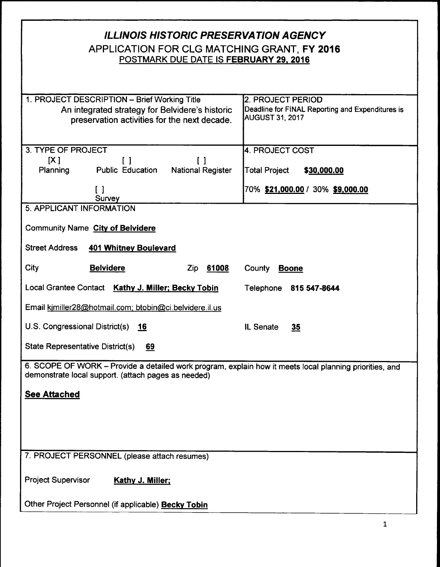| <b>ILLINOIS HISTORIC PRESERVATION AGENCY</b><br>APPLICATION FOR CLG MATCHING GRANT, FY 2016<br>POSTMARK DUE DATE IS FEBRUARY 29, 2016                                              |                                                                                                 |  |  |  |
|------------------------------------------------------------------------------------------------------------------------------------------------------------------------------------|-------------------------------------------------------------------------------------------------|--|--|--|
| 1. PROJECT DESCRIPTION - Brief Working Title<br>An integrated strategy for Belvidere's historic<br>preservation activities for the next decade.                                    | 2. PROJECT PERIOD<br>Deadline for FINAL Reporting and Expenditures is<br><b>AUGUST 31, 2017</b> |  |  |  |
| 3. TYPE OF PROJECT<br>[X]<br>$\Box$<br>$\left[ \quad \right]$<br><b>Public Education</b><br><b>National Register</b><br><b>Planning</b><br>$\begin{smallmatrix} \end{smallmatrix}$ | 4. PROJECT COST<br>Total Project<br>\$30,000.00<br>70% \$21,000.00 / 30% \$9,000.00             |  |  |  |
| Survey                                                                                                                                                                             |                                                                                                 |  |  |  |
| 5. APPLICANT INFORMATION<br>Community Name City of Belvidere<br><b>Street Address</b><br><b>401 Whitney Boulevard</b>                                                              |                                                                                                 |  |  |  |
| City<br><b>Belvidere</b><br>Zip 61008                                                                                                                                              | County<br><b>Boone</b>                                                                          |  |  |  |
| Local Grantee Contact Kathy J. Miller; Becky Tobin                                                                                                                                 | Telephone 815 547-8644                                                                          |  |  |  |
| Email kimiller28@hotmail.com; btobin@ci.belvidere.il.us                                                                                                                            |                                                                                                 |  |  |  |
| U.S. Congressional District(s)<br>16                                                                                                                                               | IL Senate<br>35                                                                                 |  |  |  |
| State Representative District(s)<br>69                                                                                                                                             |                                                                                                 |  |  |  |
| 6. SCOPE OF WORK - Provide a detailed work program, explain how it meets local planning priorities, and<br>demonstrate local support. (attach pages as needed)                     |                                                                                                 |  |  |  |
| <b>See Attached</b>                                                                                                                                                                |                                                                                                 |  |  |  |
|                                                                                                                                                                                    |                                                                                                 |  |  |  |
| 7. PROJECT PERSONNEL (please attach resumes)                                                                                                                                       |                                                                                                 |  |  |  |
| <b>Project Supervisor</b><br><b>Kathy J. Miller;</b>                                                                                                                               |                                                                                                 |  |  |  |
| Other Project Personnel (if applicable) Becky Tobin                                                                                                                                |                                                                                                 |  |  |  |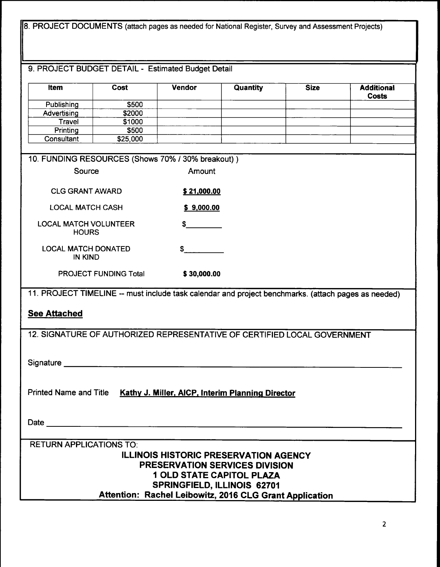| 8. PROJECT DOCUMENTS (attach pages as needed for National Register, Survey and Assessment Projects)                                                                                                                            |                              |               |          |             |                            |  |
|--------------------------------------------------------------------------------------------------------------------------------------------------------------------------------------------------------------------------------|------------------------------|---------------|----------|-------------|----------------------------|--|
| 9. PROJECT BUDGET DETAIL - Estimated Budget Detail                                                                                                                                                                             |                              |               |          |             |                            |  |
|                                                                                                                                                                                                                                |                              |               |          |             |                            |  |
| <b>item</b>                                                                                                                                                                                                                    | Cost                         | <b>Vendor</b> | Quantity | <b>Size</b> | <b>Additional</b><br>Costs |  |
| Publishing                                                                                                                                                                                                                     | \$500                        |               |          |             |                            |  |
| Advertising<br><b>Travel</b>                                                                                                                                                                                                   | \$2000<br>\$1000             |               |          |             |                            |  |
| Printing                                                                                                                                                                                                                       | \$500                        |               |          |             |                            |  |
| Consultant                                                                                                                                                                                                                     | \$25,000                     |               |          |             |                            |  |
| 10. FUNDING RESOURCES (Shows 70% / 30% breakout))                                                                                                                                                                              |                              |               |          |             |                            |  |
| Source                                                                                                                                                                                                                         |                              | Amount        |          |             |                            |  |
| <b>CLG GRANT AWARD</b>                                                                                                                                                                                                         |                              | \$21,000.00   |          |             |                            |  |
| <b>LOCAL MATCH CASH</b>                                                                                                                                                                                                        |                              | \$9,000.00    |          |             |                            |  |
| <b>LOCAL MATCH VOLUNTEER</b><br><b>HOURS</b>                                                                                                                                                                                   |                              | \$            |          |             |                            |  |
| <b>LOCAL MATCH DONATED</b><br><b>IN KIND</b>                                                                                                                                                                                   |                              | S             |          |             |                            |  |
|                                                                                                                                                                                                                                | <b>PROJECT FUNDING Total</b> | \$30,000.00   |          |             |                            |  |
| 11. PROJECT TIMELINE -- must include task calendar and project benchmarks. (attach pages as needed)                                                                                                                            |                              |               |          |             |                            |  |
| <b>See Attached</b>                                                                                                                                                                                                            |                              |               |          |             |                            |  |
| 12. SIGNATURE OF AUTHORIZED REPRESENTATIVE OF CERTIFIED LOCAL GOVERNMENT                                                                                                                                                       |                              |               |          |             |                            |  |
|                                                                                                                                                                                                                                |                              |               |          |             |                            |  |
| Signature Signature Signature Signature Signature Signature Signature Signature Signature Signature Signature Signature Signature Signature Signature Signature Signature Signature Signature Signature Signature Signature Si |                              |               |          |             |                            |  |
| Printed Name and Title Kathy J. Miller, AICP, Interim Planning Director                                                                                                                                                        |                              |               |          |             |                            |  |
|                                                                                                                                                                                                                                |                              |               |          |             |                            |  |
| <b>RETURN APPLICATIONS TO:</b>                                                                                                                                                                                                 |                              |               |          |             |                            |  |
| <b>ILLINOIS HISTORIC PRESERVATION AGENCY</b><br><b>PRESERVATION SERVICES DIVISION</b><br><b>1 OLD STATE CAPITOL PLAZA</b><br><b>SPRINGFIELD, ILLINOIS 62701</b><br>Attention: Rachel Leibowitz, 2016 CLG Grant Application     |                              |               |          |             |                            |  |
|                                                                                                                                                                                                                                |                              |               |          |             |                            |  |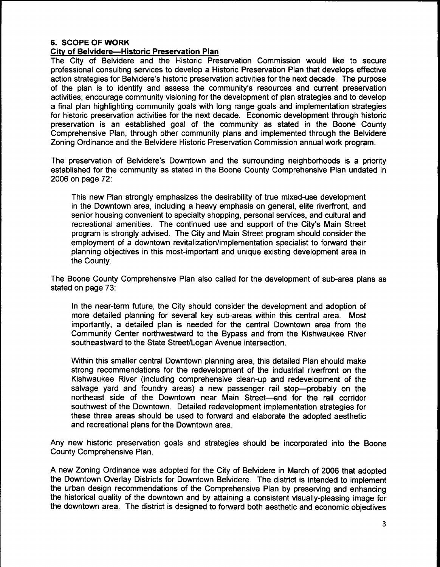#### 6. SCOPE OF WORK

#### City of Belvidere—Historic Preservation Plan

The City of Belvidere and the Historic Preservation Commission would like to secure professional consulting services to develop a Historic Preservation Plan that develops effective action strategies for Belvidere's historic preservation activities for the next decade. The purpose of the plan is to identify and assess the community's resources and current preservation activities; encourage community visioning for the development of plan strategies and to develop a final plan highlighting community goals with long range goals and implementation strategies for historic preservation activities for the next decade. Economic development through historic preservation is an established goal of the community as stated in the Boone County Comprehensive Plan, through other community plans and implemented through the Belvidere Zoning Ordinance and the Belvidere Historic Preservation Commission annual work program.

The preservation of Belvidere's Downtown and the surrounding neighborhoods is a priority established for the community as stated in the Boone County Comprehensive Plan undated in 2006 on page 72:

This new Plan strongly emphasizes the desirability of true mixed-use development in the Downtown area, including a heavy emphasis on general, elite riverfront, and senior housing convenient to specialty shopping, personal services, and cultural and recreational amenities. The continued use and support of the City's Main Street program is strongly advised. The City and Main Street program should consider the employment of a downtown revitalization/implementation specialist to forward their planning objectives in this most-important and unique existing development area in the County.

The Boone County Comprehensive Plan also called for the development of sub-area plans as stated on page 73:

In the near-term future, the City should consider the development and adoption of more detailed planning for several key sub-areas within this central area. Most importantly, a detailed plan is needed for the central Downtown area from the Community Center northwestward to the Bypass and from the Kishwaukee River southeastward to the State Street/Logan Avenue intersection.

Within this smaller central Downtown planning area, this detailed Plan should make strong recommendations for the redevelopment of the industrial riverfront on the Kishwaukee River ( including comprehensive clean-up and redevelopment of the salvage yard and foundry areas) a new passenger rail stop—probably on the northeast side of the Downtown near Main Street—and for the rail corridor southwest of the Downtown. Detailed redevelopment implementation strategies for these three areas should be used to forward and elaborate the adopted aesthetic and recreational plans for the Downtown area.

Any new historic preservation goals and strategies should be incorporated into the Boone County Comprehensive Plan.

A new Zoning Ordinance was adopted for the City of Belvidere in March of 2006 that adopted the Downtown Overlay Districts for Downtown Belvidere. The district is intended to implement the urban design recommendations of the Comprehensive Plan by preserving and enhancing the historical quality of the downtown and by attaining a consistent visually-pleasing image for the downtown area. The district is designed to forward both aesthetic and economic objectives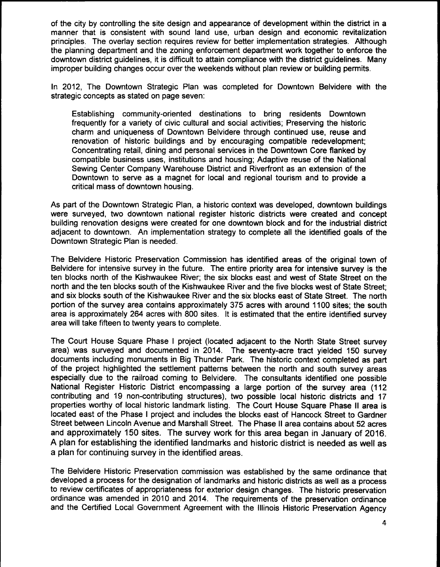of the city by controlling the site design and appearance of development within the district in a manner that is consistent with sound land use, urban design and economic revitalization principles. The overlay section requires review for better implementation strategies. Although the planning department and the zoning enforcement department work together to enforce the downtown district guidelines, it is difficult to attain compliance with the district guidelines. Many improper building changes occur over the weekends without plan review or building permits.

In 2012, The Downtown Strategic Plan was completed for Downtown Belvidere with the strategic concepts as stated on page seven:

Establishing community-oriented destinations to bring residents Downtown frequently for a variety of civic cultural and social activities; Preserving the historic charm and uniqueness of Downtown Belvidere through continued use, reuse and renovation of historic buildings and by encouraging compatible redevelopment; Concentrating retail, dining and personal services in the Downtown Core flanked by compatible business uses, institutions and housing; Adaptive reuse of the National Sewing Center Company Warehouse District and Riverfront as an extension of the Downtown to serve as a magnet for local and regional tourism and to provide a critical mass of downtown housing.

As part of the Downtown Strategic Plan, a historic context was developed, downtown buildings were surveyed, two downtown national register historic districts were created and concept building renovation designs were created for one downtown block and for the industrial district adjacent to downtown. An implementation strategy to complete all the identified goals of the Downtown Strategic Plan is needed.

The Belvidere Historic Preservation Commission has identified areas of the original town of Belvidere for intensive survey in the future. The entire priority area for intensive survey is the ten blocks north of the Kishwaukee River; the six blocks east and west of State Street on the north and the ten blocks south of the Kishwaukee River and the five blocks west of State Street; and six blocks south of the Kishwaukee River and the six blocks east of State Street. The north portion of the survey area contains approximately 375 acres with around 1100 sites; the south area is approximately 264 acres with 800 sites. It is estimated that the entire identified survey area will take fifteen to twenty years to complete.

The Court House Square Phase <sup>I</sup> project ( located adjacent to the North State Street survey area) was surveyed and documented in 2014. The seventy-acre tract yielded 150 survey documents including monuments in Big Thunder Park. The historic context completed as part of the project highlighted the settlement patterns between the north and south survey areas especially due to the railroad coming to Belvidere. The consultants identified one possible National Register Historic District encompassing <sup>a</sup> large portion of the survey area ( 112 contributing and 19 non-contributing structures), two possible local historic districts and 17 properties worthy of local historic landmark listing. The Court House Square Phase II area is located east of the Phase <sup>I</sup> project and includes the blocks east of Hancock Street to Gardner Street between Lincoln Avenue and Marshall Street. The Phase II area contains about 52 acres and approximately 150 sites. The survey work for this area began in January of 2016. A plan for establishing the identified landmarks and historic district is needed as well as a plan for continuing survey in the identified areas.

The Belvidere Historic Preservation commission was established by the same ordinance that developed a process for the designation of landmarks and historic districts as well as a process to review certificates of appropriateness for exterior design changes. The historic preservation ordinance was amended in 2010 and 2014. The requirements of the preservation ordinance and the Certified Local Government Agreement with the Illinois Historic Preservation Agency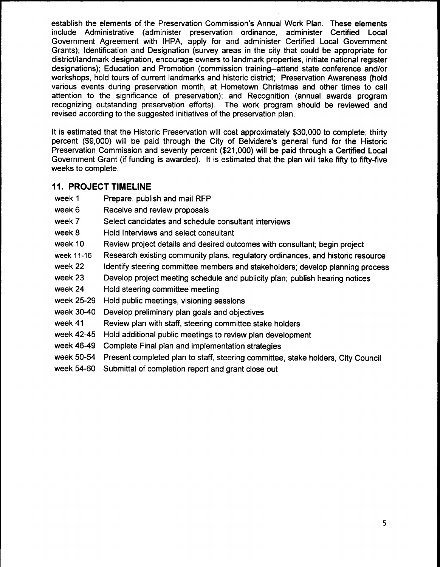establish the elements of the Preservation Commission's Annual Work Plan. These elements include Administrative ( administer preservation ordinance, administer Certified Local Government Agreement with IHPA, apply for and administer Certified Local Government Grants); Identification and Designation ( survey areas in the city that could be appropriate for district/landmark designation, encourage owners to landmark properties, initiate national register designations); Education and Promotion (commission training--attend state conference and/or workshops, hold tours of current landmarks and historic district; Preservation Awareness ( hold various events during preservation month, at Hometown Christmas and other times to call attention to the significance of preservation); and Recognition ( annual awards program recognizing outstanding preservation efforts). The work program should be reviewed and revised according to the suggested initiatives of the preservation plan.

It is estimated that the Historic Preservation will cost approximately \$30,000 to complete; thirty percent (\$ 9,000) will be paid through the City of Belvidere's general fund for the Historic Preservation Commission and seventy percent (\$21,000) will be paid through a Certified Local Government Grant (if funding is awarded). It is estimated that the plan will take fifty to fifty-five weeks to complete.

#### 11. PROJECT TIMELINE

- week 1 Prepare, publish and mail RFP
- week 6 Receive and review proposals
- week 7 Select candidates and schedule consultant interviews
- week 8 Hold Interviews and select consultant
- week 10 Review project details and desired outcomes with consultant; begin project
- week 11-16 Research existing community plans, regulatory ordinances, and historic resource
- week 22 Identify steering committee members and stakeholders; develop planning process
- week 23 Develop project meeting schedule and publicity plan; publish hearing notices
- week 24 Hold steering committee meeting
- week 25-29 Hold public meetings, visioning sessions
- week 30-40 Develop preliminary plan goals and objectives
- week <sup>41</sup> Review plan with staff, steering committee stake holders
- week 42-45 Hold additional public meetings to review plan development
- week 46-49 Complete Final plan and implementation strategies
- week 50-54 Present completed plan to staff, steering committee, stake holders, City Council
- week 54-60 Submittal of completion report and grant close out